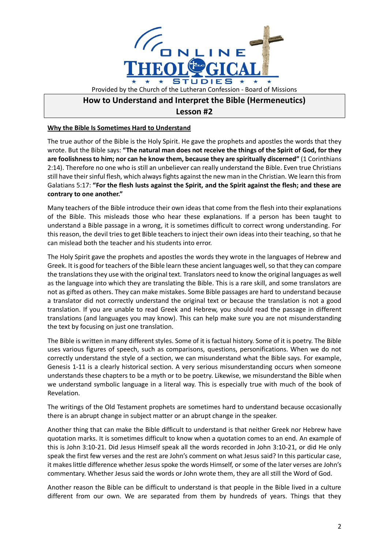

## **How to Understand and Interpret the Bible (Hermeneutics) Lesson #2**

**Why the Bible Is Sometimes Hard to Understand**

The true author of the Bible is the Holy Spirit. He gave the prophets and apostles the words that they wrote. But the Bible says: **"The natural man does not receive the things of the Spirit of God, for they are foolishness to him; nor can he know them, because they are spiritually discerned"** (1 Corinthians 2:14). Therefore no one who is still an unbeliever can really understand the Bible. Even true Christians still have their sinful flesh, which always fights against the new man in the Christian. We learn this from Galatians 5:17: **"For the flesh lusts against the Spirit, and the Spirit against the flesh; and these are contrary to one another."**

Many teachers of the Bible introduce their own ideas that come from the flesh into their explanations of the Bible. This misleads those who hear these explanations. If a person has been taught to understand a Bible passage in a wrong, it is sometimes difficult to correct wrong understanding. For this reason, the devil tries to get Bible teachers to inject their own ideas into their teaching, so that he can mislead both the teacher and his students into error.

The Holy Spirit gave the prophets and apostles the words they wrote in the languages of Hebrew and Greek. It is good for teachers of the Bible learn these ancient languages well, so that they can compare the translations they use with the original text. Translators need to know the original languages as well as the language into which they are translating the Bible. This is a rare skill, and some translators are not as gifted as others. They can make mistakes. Some Bible passages are hard to understand because a translator did not correctly understand the original text or because the translation is not a good translation. If you are unable to read Greek and Hebrew, you should read the passage in different translations (and languages you may know). This can help make sure you are not misunderstanding the text by focusing on just one translation.

The Bible is written in many different styles. Some of it is factual history. Some of it is poetry. The Bible uses various figures of speech, such as comparisons, questions, personifications. When we do not correctly understand the style of a section, we can misunderstand what the Bible says. For example, Genesis 1-11 is a clearly historical section. A very serious misunderstanding occurs when someone understands these chapters to be a myth or to be poetry. Likewise, we misunderstand the Bible when we understand symbolic language in a literal way. This is especially true with much of the book of Revelation.

The writings of the Old Testament prophets are sometimes hard to understand because occasionally there is an abrupt change in subject matter or an abrupt change in the speaker.

Another thing that can make the Bible difficult to understand is that neither Greek nor Hebrew have quotation marks. It is sometimes difficult to know when a quotation comes to an end. An example of this is John 3:10-21. Did Jesus Himself speak all the words recorded in John 3:10-21, or did He only speak the first few verses and the rest are John's comment on what Jesus said? In this particular case, it makes little difference whether Jesus spoke the words Himself, or some of the later verses are John's commentary. Whether Jesus said the words or John wrote them, they are all still the Word of God.

Another reason the Bible can be difficult to understand is that people in the Bible lived in a culture different from our own. We are separated from them by hundreds of years. Things that they